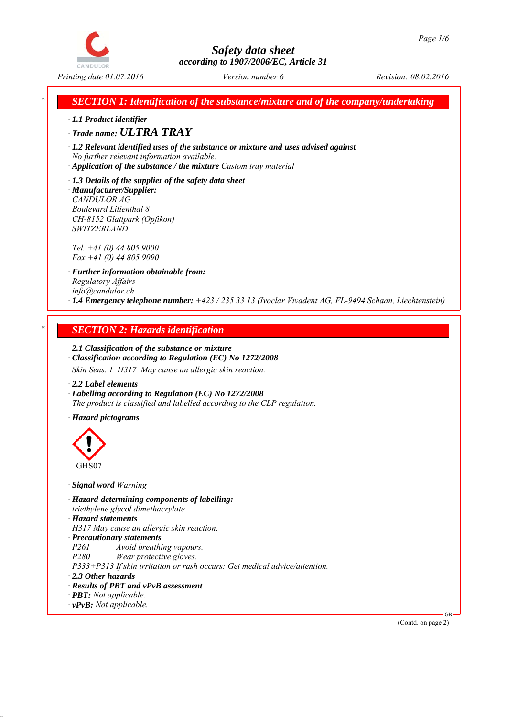

*SECTION 1: Identification of the substance/mixture and of the company/undertaking* 

*∙ 1.1 Product identifier*

*∙ Trade name: ULTRA TRAY*

*∙ 1.2 Relevant identified uses of the substance or mixture and uses advised against No further relevant information available.*

*∙ Application of the substance / the mixture Custom tray material*

*∙ 1.3 Details of the supplier of the safety data sheet ∙ Manufacturer/Supplier: CANDULOR AG Boulevard Lilienthal 8 CH-8152 Glattpark (Opfikon) SWITZERLAND*

*Tel. +41 (0) 44 805 9000 Fax +41 (0) 44 805 9090*

*∙ Further information obtainable from: Regulatory Affairs info@candulor.ch ∙ 1.4 Emergency telephone number: +423 / 235 33 13 (Ivoclar Vivadent AG, FL-9494 Schaan, Liechtenstein)*

## *\* SECTION 2: Hazards identification*

*∙ 2.1 Classification of the substance or mixture*

*∙ Classification according to Regulation (EC) No 1272/2008 Skin Sens. 1 H317 May cause an allergic skin reaction.*

*∙ 2.2 Label elements*

*∙ Labelling according to Regulation (EC) No 1272/2008 The product is classified and labelled according to the CLP regulation.*

*∙ Hazard pictograms*



*∙ Signal word Warning*

*∙ Hazard-determining components of labelling:*

*triethylene glycol dimethacrylate*

*∙ Hazard statements*

*H317 May cause an allergic skin reaction.*

*∙ Precautionary statements*

*P261 Avoid breathing vapours.*

*P280 Wear protective gloves.*

*P333+P313 If skin irritation or rash occurs: Get medical advice/attention.*

- *∙ 2.3 Other hazards*
- *∙ Results of PBT and vPvB assessment*
- *∙ PBT: Not applicable.*
- *∙ vPvB: Not applicable.*

(Contd. on page 2)

GB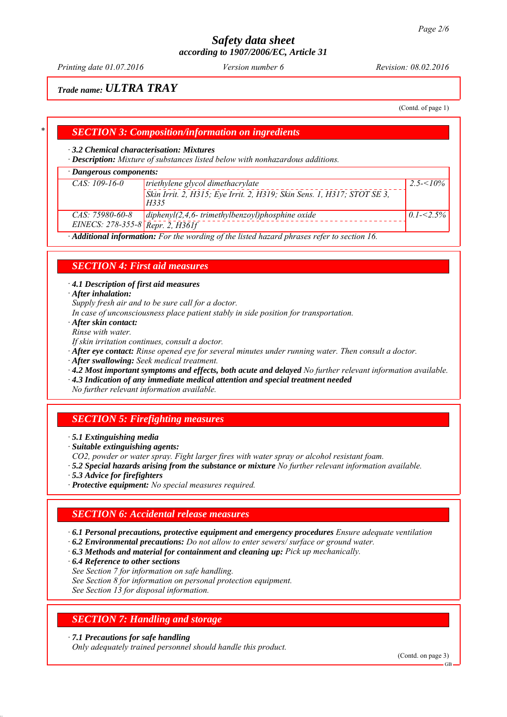*Printing date 01.07.2016 Revision: 08.02.2016 Version number 6*

## *Trade name: ULTRA TRAY*

(Contd. of page 1)

## *\* SECTION 3: Composition/information on ingredients*

### *∙ 3.2 Chemical characterisation: Mixtures*

*∙ Description: Mixture of substances listed below with nonhazardous additions.*

### *∙ Dangerous components:*

| Dangerous components.                                                                       |                                                                                 |               |  |
|---------------------------------------------------------------------------------------------|---------------------------------------------------------------------------------|---------------|--|
| $CAS: 109-16-0$                                                                             | triethylene glycol dimethacrylate<br>$2.5 - 10\%$                               |               |  |
|                                                                                             | Skin Irrit. 2, H315; Eye Irrit. 2, H319; Skin Sens. 1, H317; STOT SE 3,<br>H335 |               |  |
| CAS: 75980-60-8                                                                             | $\langle$ diphenyl(2,4,6-trimethylbenzoyl)phosphine oxide                       | $0.1 - 2.5\%$ |  |
| EINECS: $278-355-8$ Repr. 2, $H361f$                                                        |                                                                                 |               |  |
| · Additional information: For the wording of the listed hazard phrases refer to section 16. |                                                                                 |               |  |

*SECTION 4: First aid measures*

*∙ 4.1 Description of first aid measures*

*∙ After inhalation:*

*Supply fresh air and to be sure call for a doctor.*

- *In case of unconsciousness place patient stably in side position for transportation.*
- *∙ After skin contact:*

*Rinse with water.*

- *If skin irritation continues, consult a doctor.*
- *∙ After eye contact: Rinse opened eye for several minutes under running water. Then consult a doctor.*
- *∙ After swallowing: Seek medical treatment.*
- *∙ 4.2 Most important symptoms and effects, both acute and delayed No further relevant information available.*
- *∙ 4.3 Indication of any immediate medical attention and special treatment needed*

*No further relevant information available.*

## *SECTION 5: Firefighting measures*

- *∙ 5.1 Extinguishing media*
- *∙ Suitable extinguishing agents:*
- *CO2, powder or water spray. Fight larger fires with water spray or alcohol resistant foam.*
- *∙ 5.2 Special hazards arising from the substance or mixture No further relevant information available.*
- *∙ 5.3 Advice for firefighters*
- *∙ Protective equipment: No special measures required.*

### *SECTION 6: Accidental release measures*

- *∙ 6.1 Personal precautions, protective equipment and emergency procedures Ensure adequate ventilation*
- *∙ 6.2 Environmental precautions: Do not allow to enter sewers/ surface or ground water.*
- *∙ 6.3 Methods and material for containment and cleaning up: Pick up mechanically.*
- *∙ 6.4 Reference to other sections*
- *See Section 7 for information on safe handling.*
- *See Section 8 for information on personal protection equipment.*

*See Section 13 for disposal information.*

## *SECTION 7: Handling and storage*

*∙ 7.1 Precautions for safe handling*

*Only adequately trained personnel should handle this product.*

(Contd. on page 3)

GB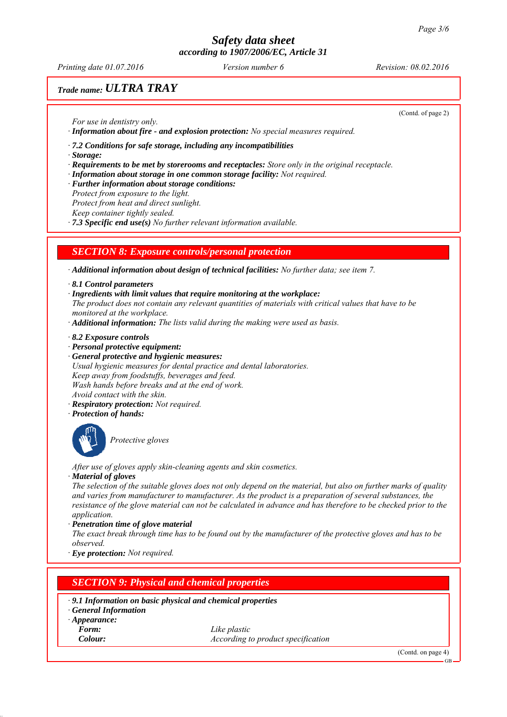*Printing date 01.07.2016 Revision: 08.02.2016 Version number 6*

(Contd. of page 2)

# *Trade name: ULTRA TRAY*

*For use in dentistry only.*

*∙ Information about fire - and explosion protection: No special measures required.*

*∙ 7.2 Conditions for safe storage, including any incompatibilities*

*∙ Storage:*

- *∙ Requirements to be met by storerooms and receptacles: Store only in the original receptacle.*
- *∙ Information about storage in one common storage facility: Not required.*
- *∙ Further information about storage conditions:*
- *Protect from exposure to the light.*

*Protect from heat and direct sunlight.*

*Keep container tightly sealed.*

*∙ 7.3 Specific end use(s) No further relevant information available.*

## *SECTION 8: Exposure controls/personal protection*

*∙ Additional information about design of technical facilities: No further data; see item 7.*

*∙ 8.1 Control parameters*

- *∙ Ingredients with limit values that require monitoring at the workplace:*
- *The product does not contain any relevant quantities of materials with critical values that have to be monitored at the workplace.*
- *∙ Additional information: The lists valid during the making were used as basis.*
- *∙ 8.2 Exposure controls*
- *∙ Personal protective equipment:*
- *∙ General protective and hygienic measures:*
- *Usual hygienic measures for dental practice and dental laboratories. Keep away from foodstuffs, beverages and feed. Wash hands before breaks and at the end of work. Avoid contact with the skin.*
- *∙ Respiratory protection: Not required.*
- *∙ Protection of hands:*



*Protective gloves*

*After use of gloves apply skin-cleaning agents and skin cosmetics.*

*∙ Material of gloves*

*The selection of the suitable gloves does not only depend on the material, but also on further marks of quality and varies from manufacturer to manufacturer. As the product is a preparation of several substances, the resistance of the glove material can not be calculated in advance and has therefore to be checked prior to the application.*

*∙ Penetration time of glove material*

*The exact break through time has to be found out by the manufacturer of the protective gloves and has to be observed.*

*∙ Eye protection: Not required.*

# *SECTION 9: Physical and chemical properties*

- *∙ 9.1 Information on basic physical and chemical properties*
- *∙ General Information*
- *∙ Appearance:*

*Form: Like plastic Colour: According to product specification*

(Contd. on page 4)

GB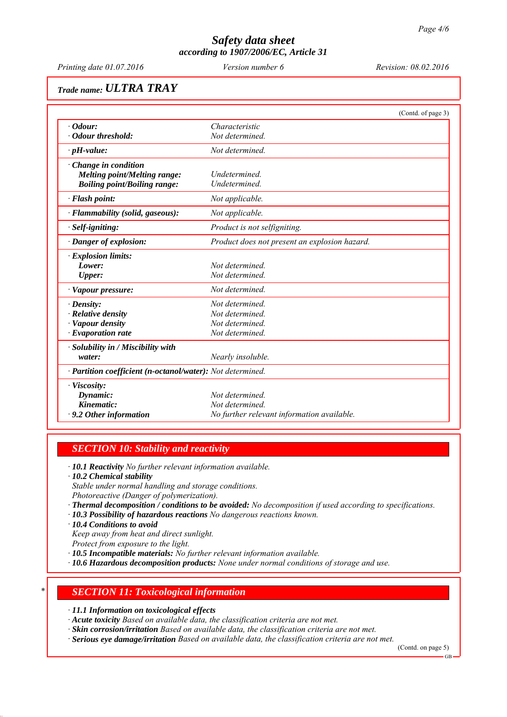*Printing date 01.07.2016 Revision: 08.02.2016 Version number 6*

# *Trade name: ULTRA TRAY*

|                                                            |                                               | (Contd. of page 3) |
|------------------------------------------------------------|-----------------------------------------------|--------------------|
| $\cdot$ <i>Odour:</i>                                      | Characteristic                                |                    |
| · Odour threshold:                                         | Not determined.                               |                    |
| $\cdot$ pH-value:                                          | Not determined.                               |                    |
| $\cdot$ Change in condition                                |                                               |                    |
| <b>Melting point/Melting range:</b>                        | Undetermined.                                 |                    |
| <b>Boiling point/Boiling range:</b>                        | Undetermined.                                 |                    |
| · Flash point:                                             | Not applicable.                               |                    |
| · Flammability (solid, gaseous):                           | Not applicable.                               |                    |
| · Self-igniting:                                           | Product is not selfigniting.                  |                    |
| · Danger of explosion:                                     | Product does not present an explosion hazard. |                    |
| · Explosion limits:                                        |                                               |                    |
| Lower:                                                     | Not determined.                               |                    |
| <b>Upper:</b>                                              | Not determined.                               |                    |
| · Vapour pressure:                                         | Not determined.                               |                    |
| · Density:                                                 | Not determined.                               |                    |
| $\cdot$ Relative density                                   | Not determined                                |                    |
| · Vapour density                                           | Not determined                                |                    |
| $\cdot$ Evaporation rate                                   | Not determined.                               |                    |
| · Solubility in / Miscibility with                         |                                               |                    |
| water:                                                     | Nearly insoluble.                             |                    |
| · Partition coefficient (n-octanol/water): Not determined. |                                               |                    |
| $\cdot$ Viscosity:                                         |                                               |                    |
| Dynamic:                                                   | Not determined                                |                    |
| Kinematic:                                                 | Not determined.                               |                    |
| $\cdot$ 9.2 Other information                              | No further relevant information available.    |                    |

### *SECTION 10: Stability and reactivity*

*∙ 10.1 Reactivity No further relevant information available.*

*∙ 10.2 Chemical stability Stable under normal handling and storage conditions.*

*Photoreactive (Danger of polymerization).*

- *∙ Thermal decomposition / conditions to be avoided: No decomposition if used according to specifications.*
- *∙ 10.3 Possibility of hazardous reactions No dangerous reactions known.*
- *∙ 10.4 Conditions to avoid*
- *Keep away from heat and direct sunlight. Protect from exposure to the light.*

*∙ 10.5 Incompatible materials: No further relevant information available.*

*∙ 10.6 Hazardous decomposition products: None under normal conditions of storage and use.*

### *\* SECTION 11: Toxicological information*

*∙ 11.1 Information on toxicological effects*

*∙ Acute toxicity Based on available data, the classification criteria are not met.*

*∙ Skin corrosion/irritation Based on available data, the classification criteria are not met.*

*∙ Serious eye damage/irritation Based on available data, the classification criteria are not met.*

(Contd. on page 5)

GB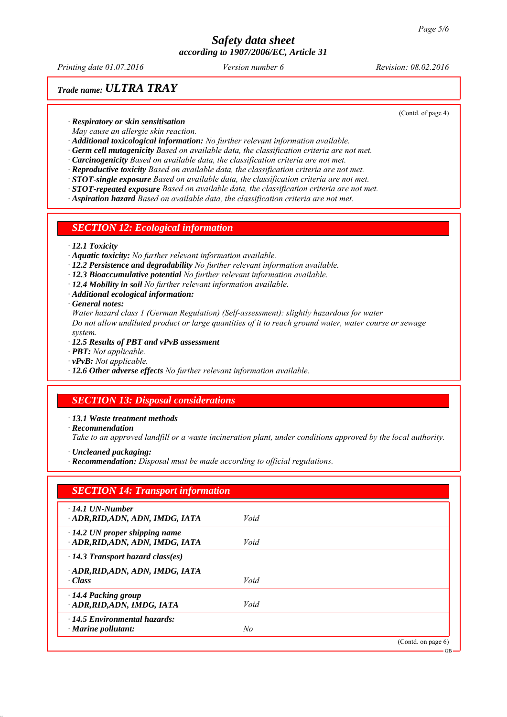*Printing date 01.07.2016 Revision: 08.02.2016 Version number 6*

(Contd. of page 4)

## *Trade name: ULTRA TRAY*

*∙ Respiratory or skin sensitisation*

*May cause an allergic skin reaction.*

*∙ Additional toxicological information: No further relevant information available.*

*∙ Germ cell mutagenicity Based on available data, the classification criteria are not met.*

*∙ Carcinogenicity Based on available data, the classification criteria are not met.*

*∙ Reproductive toxicity Based on available data, the classification criteria are not met.*

*∙ STOT-single exposure Based on available data, the classification criteria are not met.*

*∙ STOT-repeated exposure Based on available data, the classification criteria are not met.*

*∙ Aspiration hazard Based on available data, the classification criteria are not met.*

### *SECTION 12: Ecological information*

#### *∙ 12.1 Toxicity*

- *∙ Aquatic toxicity: No further relevant information available.*
- *∙ 12.2 Persistence and degradability No further relevant information available.*
- *∙ 12.3 Bioaccumulative potential No further relevant information available.*
- *∙ 12.4 Mobility in soil No further relevant information available.*
- *∙ Additional ecological information:*
- *∙ General notes:*

*Water hazard class 1 (German Regulation) (Self-assessment): slightly hazardous for water Do not allow undiluted product or large quantities of it to reach ground water, water course or sewage system.*

- *∙ 12.5 Results of PBT and vPvB assessment*
- *∙ PBT: Not applicable.*
- *∙ vPvB: Not applicable.*
- *∙ 12.6 Other adverse effects No further relevant information available.*

## *SECTION 13: Disposal considerations*

*∙ 13.1 Waste treatment methods*

*∙ Recommendation*

*Take to an approved landfill or a waste incineration plant, under conditions approved by the local authority.*

- *∙ Uncleaned packaging:*
- *∙ Recommendation: Disposal must be made according to official regulations.*

| $\cdot$ 14.1 UN-Number                                                 |      |  |
|------------------------------------------------------------------------|------|--|
| ADR, RID, ADN, ADN, IMDG, IATA                                         | Void |  |
| $\cdot$ 14.2 UN proper shipping name<br>ADR, RID, ADN, ADN, IMDG, IATA | Void |  |
| $\cdot$ 14.3 Transport hazard class(es)                                |      |  |
| ADR, RID, ADN, ADN, IMDG, IATA                                         |      |  |
| $\cdot Class$                                                          | Void |  |
| $\cdot$ 14.4 Packing group                                             |      |  |
| · ADR, RID, ADN, IMDG, IATA                                            | Void |  |
| $\cdot$ 14.5 Environmental hazards:                                    |      |  |
| $\cdot$ Marine pollutant:                                              | No   |  |